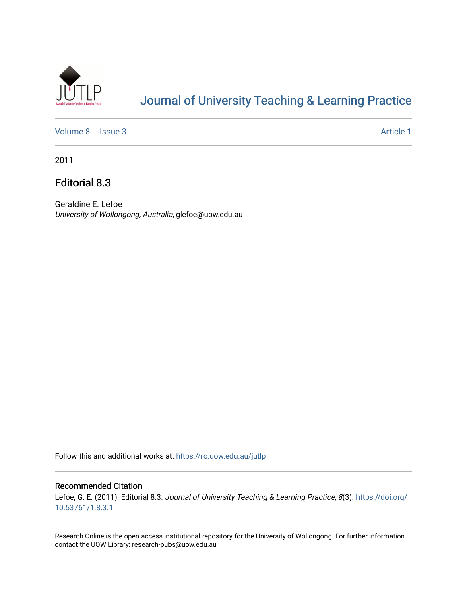

# [Journal of University Teaching & Learning Practice](https://ro.uow.edu.au/jutlp)

[Volume 8](https://ro.uow.edu.au/jutlp/vol8) | [Issue 3](https://ro.uow.edu.au/jutlp/vol8/iss3) Article 1

2011

Editorial 8.3

Geraldine E. Lefoe University of Wollongong, Australia, glefoe@uow.edu.au

Follow this and additional works at: [https://ro.uow.edu.au/jutlp](https://ro.uow.edu.au/jutlp?utm_source=ro.uow.edu.au%2Fjutlp%2Fvol8%2Fiss3%2F1&utm_medium=PDF&utm_campaign=PDFCoverPages) 

#### Recommended Citation

Lefoe, G. E. (2011). Editorial 8.3. Journal of University Teaching & Learning Practice, 8(3). [https://doi.org/](https://doi.org/10.53761/1.8.3.1) [10.53761/1.8.3.1](https://doi.org/10.53761/1.8.3.1)

Research Online is the open access institutional repository for the University of Wollongong. For further information contact the UOW Library: research-pubs@uow.edu.au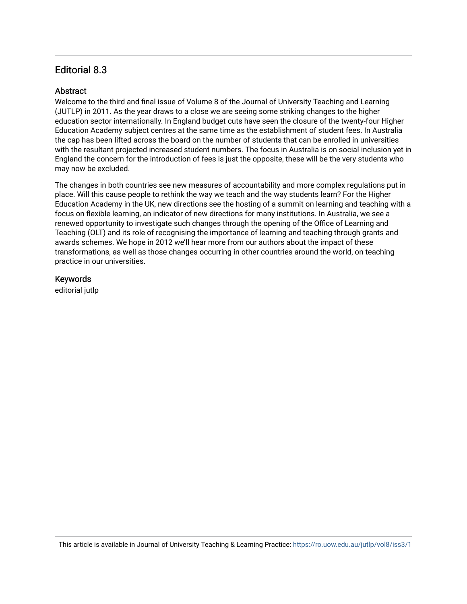## Editorial 8.3

### **Abstract**

Welcome to the third and final issue of Volume 8 of the Journal of University Teaching and Learning (JUTLP) in 2011. As the year draws to a close we are seeing some striking changes to the higher education sector internationally. In England budget cuts have seen the closure of the twenty-four Higher Education Academy subject centres at the same time as the establishment of student fees. In Australia the cap has been lifted across the board on the number of students that can be enrolled in universities with the resultant projected increased student numbers. The focus in Australia is on social inclusion yet in England the concern for the introduction of fees is just the opposite, these will be the very students who may now be excluded.

The changes in both countries see new measures of accountability and more complex regulations put in place. Will this cause people to rethink the way we teach and the way students learn? For the Higher Education Academy in the UK, new directions see the hosting of a summit on learning and teaching with a focus on flexible learning, an indicator of new directions for many institutions. In Australia, we see a renewed opportunity to investigate such changes through the opening of the Office of Learning and Teaching (OLT) and its role of recognising the importance of learning and teaching through grants and awards schemes. We hope in 2012 we'll hear more from our authors about the impact of these transformations, as well as those changes occurring in other countries around the world, on teaching practice in our universities.

### Keywords

editorial jutlp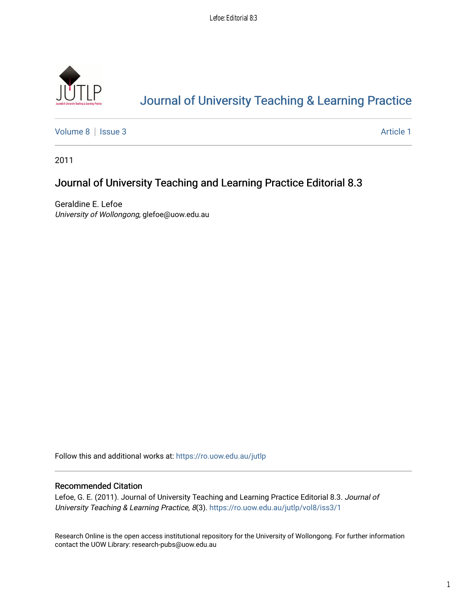

# [Journal of University Teaching & Learning Practice](https://ro.uow.edu.au/jutlp)

[Volume 8](https://ro.uow.edu.au/jutlp/vol8) | [Issue 3](https://ro.uow.edu.au/jutlp/vol8/iss3) Article 1

2011

## Journal of University Teaching and Learning Practice Editorial 8.3

Geraldine E. Lefoe University of Wollongong, glefoe@uow.edu.au

Follow this and additional works at: [https://ro.uow.edu.au/jutlp](https://ro.uow.edu.au/jutlp?utm_source=ro.uow.edu.au%2Fjutlp%2Fvol8%2Fiss3%2F1&utm_medium=PDF&utm_campaign=PDFCoverPages) 

### Recommended Citation

Lefoe, G. E. (2011). Journal of University Teaching and Learning Practice Editorial 8.3. Journal of University Teaching & Learning Practice, 8(3). [https://ro.uow.edu.au/jutlp/vol8/iss3/1](https://ro.uow.edu.au/jutlp/vol8/iss3/1?utm_source=ro.uow.edu.au%2Fjutlp%2Fvol8%2Fiss3%2F1&utm_medium=PDF&utm_campaign=PDFCoverPages) 

Research Online is the open access institutional repository for the University of Wollongong. For further information contact the UOW Library: research-pubs@uow.edu.au

1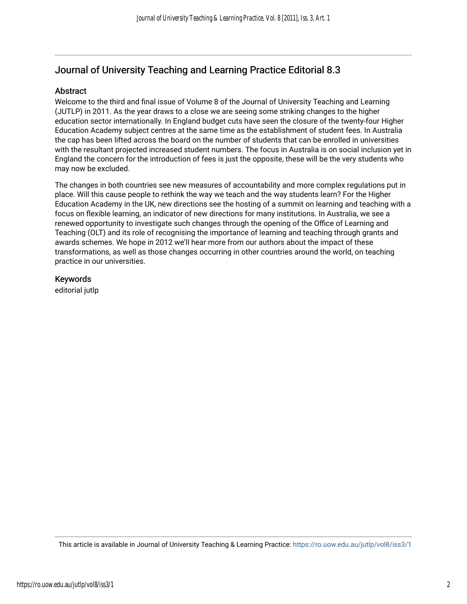## Journal of University Teaching and Learning Practice Editorial 8.3

### **Abstract**

Welcome to the third and final issue of Volume 8 of the Journal of University Teaching and Learning (JUTLP) in 2011. As the year draws to a close we are seeing some striking changes to the higher education sector internationally. In England budget cuts have seen the closure of the twenty-four Higher Education Academy subject centres at the same time as the establishment of student fees. In Australia the cap has been lifted across the board on the number of students that can be enrolled in universities with the resultant projected increased student numbers. The focus in Australia is on social inclusion yet in England the concern for the introduction of fees is just the opposite, these will be the very students who may now be excluded.

The changes in both countries see new measures of accountability and more complex regulations put in place. Will this cause people to rethink the way we teach and the way students learn? For the Higher Education Academy in the UK, new directions see the hosting of a summit on learning and teaching with a focus on flexible learning, an indicator of new directions for many institutions. In Australia, we see a renewed opportunity to investigate such changes through the opening of the Office of Learning and Teaching (OLT) and its role of recognising the importance of learning and teaching through grants and awards schemes. We hope in 2012 we'll hear more from our authors about the impact of these transformations, as well as those changes occurring in other countries around the world, on teaching practice in our universities.

### Keywords

editorial jutlp

This article is available in Journal of University Teaching & Learning Practice:<https://ro.uow.edu.au/jutlp/vol8/iss3/1>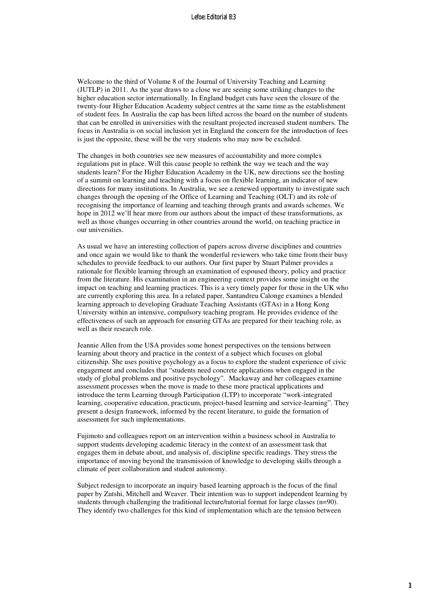Welcome to the third of Volume 8 of the Journal of University Teaching and Learning (JUTLP) in 2011. As the year draws to a close we are seeing some striking changes to the higher education sector internationally. In England budget cuts have seen the closure of the twenty-four Higher Education Academy subject centres at the same time as the establishment of student fees. In Australia the cap has been lifted across the board on the number of students that can be enrolled in universities with the resultant projected increased student numbers. The focus in Australia is on social inclusion yet in England the concern for the introduction of fees is just the opposite, these will be the very students who may now be excluded.

The changes in both countries see new measures of accountability and more complex regulations put in place. Will this cause people to rethink the way we teach and the way students learn? For the Higher Education Academy in the UK, new directions see the hosting of a summit on learning and teaching with a focus on flexible learning, an indicator of new directions for many institutions. In Australia, we see a renewed opportunity to investigate such changes through the opening of the Office of Learning and Teaching (OLT) and its role of recognising the importance of learning and teaching through grants and awards schemes. We hope in 2012 we'll hear more from our authors about the impact of these transformations, as well as those changes occurring in other countries around the world, on teaching practice in our universities.

As usual we have an interesting collection of papers across diverse disciplines and countries and once again we would like to thank the wonderful reviewers who take time from their busy schedules to provide feedback to our authors. Our first paper by Stuart Palmer provides a rationale for flexible learning through an examination of espoused theory, policy and practice from the literature. His examination in an engineering context provides some insight on the impact on teaching and learning practices. This is a very timely paper for those in the UK who are currently exploring this area. In a related paper, Santandreu Calonge examines a blended learning approach to developing Graduate Teaching Assistants (GTAs) in a Hong Kong University within an intensive, compulsory teaching program. He provides evidence of the effectiveness of such an approach for ensuring GTAs are prepared for their teaching role, as well as their research role.

Jeannie Allen from the USA provides some honest perspectives on the tensions between learning about theory and practice in the context of a subject which focuses on global citizenship. She uses positive psychology as a focus to explore the student experience of civic engagement and concludes that "students need concrete applications when engaged in the study of global problems and positive psychology". Mackaway and her colleagues examine assessment processes when the move is made to these more practical applications and introduce the term Learning through Participation (LTP) to incorporate "work-integrated learning, cooperative education, practicum, project-based learning and service-learning". They present a design framework, informed by the recent literature, to guide the formation of assessment for such implementations.

Fujimoto and colleagues report on an intervention within a business school in Australia to support students developing academic literacy in the context of an assessment task that engages them in debate about, and analysis of, discipline specific readings. They stress the importance of moving beyond the transmission of knowledge to developing skills through a climate of peer collaboration and student autonomy.

Subject redesign to incorporate an inquiry based learning approach is the focus of the final paper by Zutshi, Mitchell and Weaver. Their intention was to support independent learning by students through challenging the traditional lecture/tutorial format for large classes (n=90). They identify two challenges for this kind of implementation which are the tension between